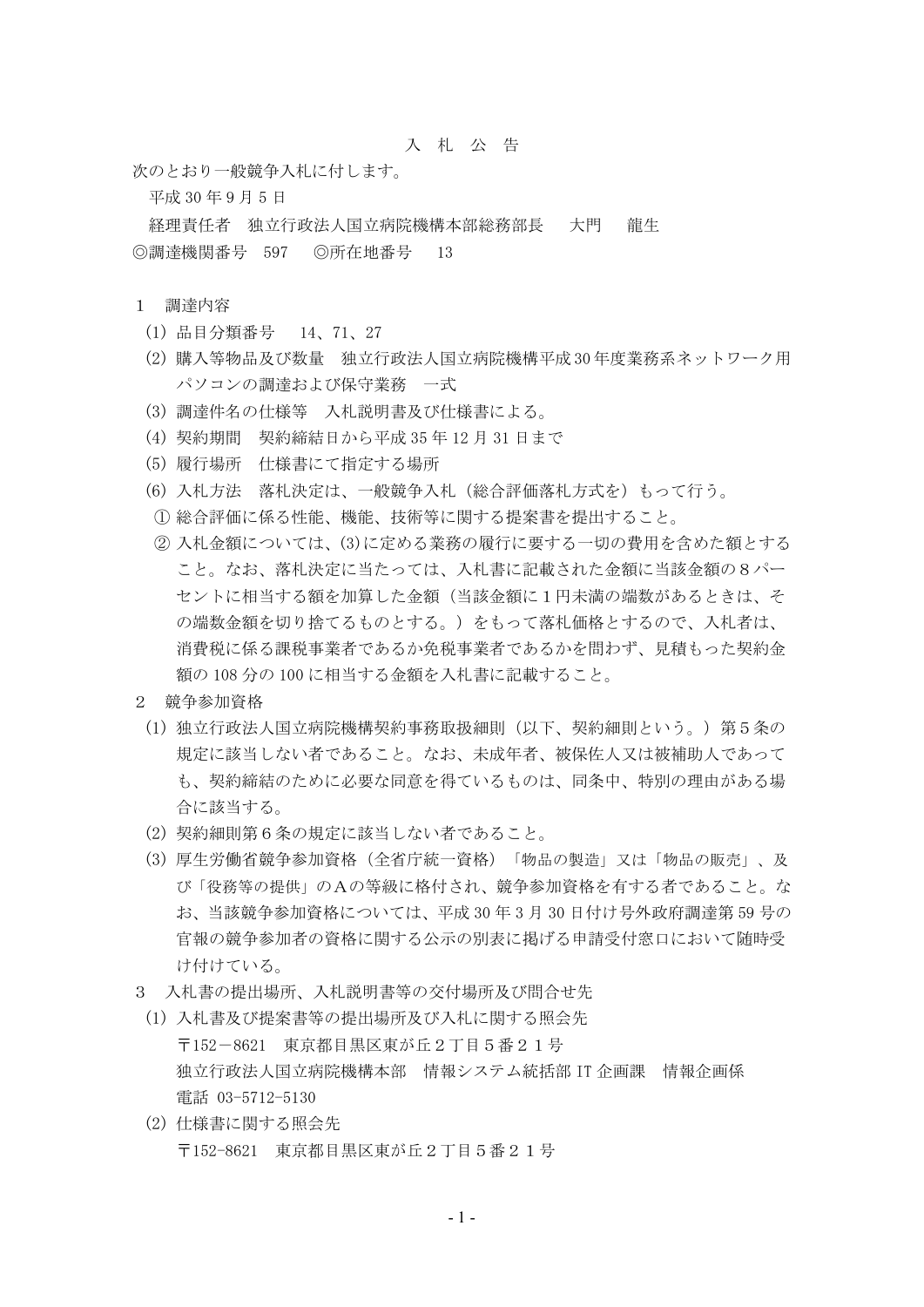## 入 札 公 告

次のとおり一般競争入札に付します。

平成 30 年 9 月 5 日

経理責任者 独立行政法人国立病院機構本部総務部長 大門 龍生 ◎調達機関番号 597 ◎所在地番号 13

## 1 調達内容

- (1) 品目分類番号 14、71、27
- (2) 購入等物品及び数量 独立行政法人国立病院機構平成 30 年度業務系ネットワーク用 パソコンの調達および保守業務 一式
- (3) 調達件名の仕様等 入札説明書及び仕様書による。
- (4) 契約期間 契約締結日から平成 35 年 12 月 31 日まで
- (5) 履行場所 仕様書にて指定する場所
- (6) 入札方法 落札決定は、一般競争入札(総合評価落札方式を)もって行う。
- ① 総合評価に係る性能、機能、技術等に関する提案書を提出すること。
- ② 入札金額については、(3)に定める業務の履行に要する一切の費用を含めた額とする こと。なお、落札決定に当たっては、入札書に記載された金額に当該金額の8パー セントに相当する額を加算した金額(当該金額に1円未満の端数があるときは、そ の端数金額を切り捨てるものとする。)をもって落札価格とするので、入札者は、 消費税に係る課税事業者であるか免税事業者であるかを問わず、見積もった契約金 額の 108 分の 100 に相当する金額を入札書に記載すること。
- 2 競争参加資格
	- (1) 独立行政法人国立病院機構契約事務取扱細則(以下、契約細則という。)第5条の 規定に該当しない者であること。なお、未成年者、被保佐人又は被補助人であって も、契約締結のために必要な同意を得ているものは、同条中、特別の理由がある場 合に該当する。
	- (2) 契約細則第6条の規定に該当しない者であること。
	- (3) 厚生労働省競争参加資格(全省庁統一資格)「物品の製造」又は「物品の販売」、及 び「役務等の提供」のAの等級に格付され、競争参加資格を有する者であること。な お、当該競争参加資格については、平成 30 年 3 月 30 日付け号外政府調達第 59 号の 官報の競争参加者の資格に関する公示の別表に掲げる申請受付窓口において随時受 け付けている。
- 3 入札書の提出場所、入札説明書等の交付場所及び問合せ先
- (1) 入札書及び提案書等の提出場所及び入札に関する照会先 〒152-8621 東京都目黒区東が丘2丁目5番21号 独立行政法人国立病院機構本部 情報システム統括部 IT 企画課 情報企画係 電話 03-5712-5130
- (2) 仕様書に関する照会先 〒152-8621 東京都目黒区東が丘2丁目5番21号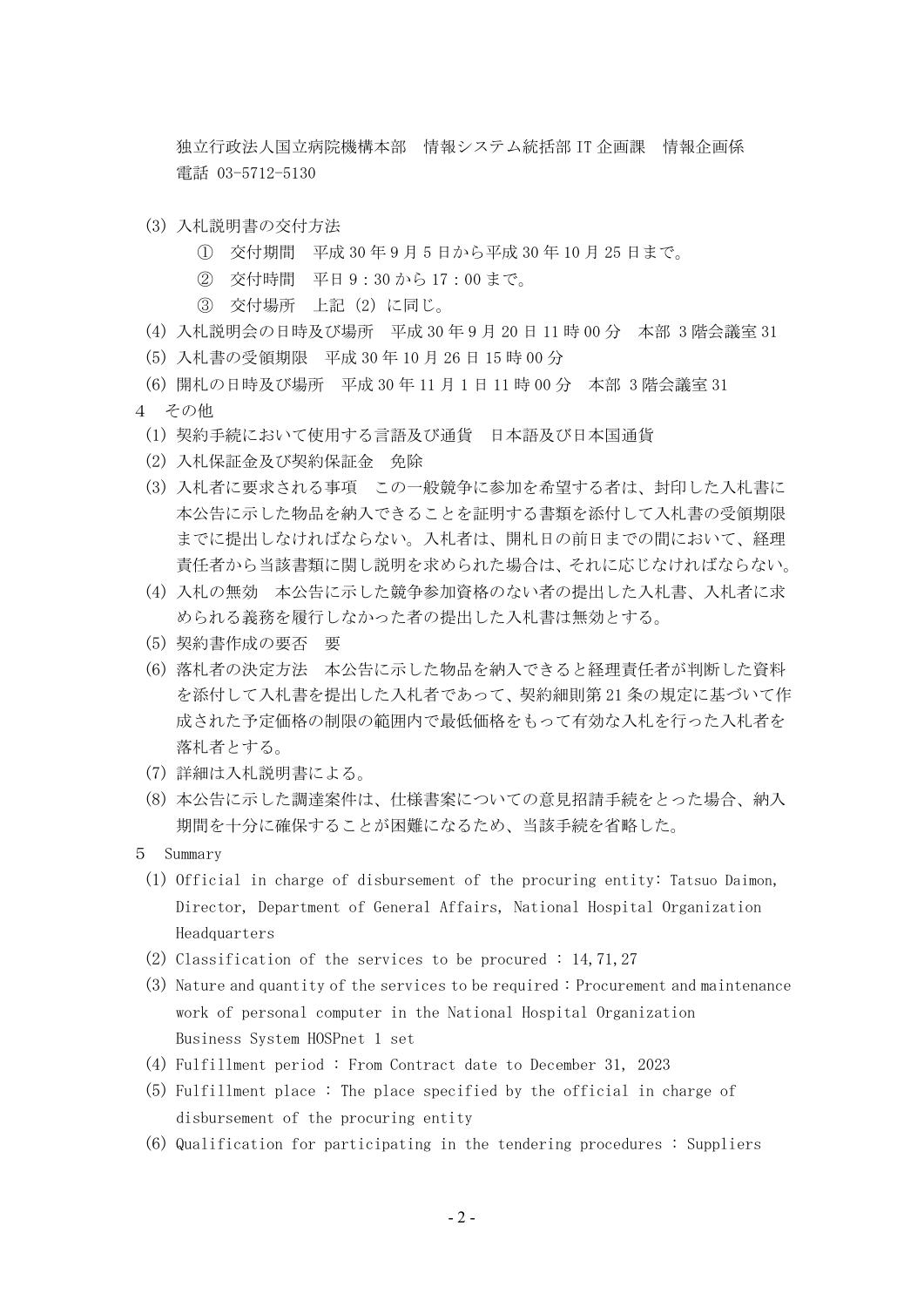独立行政法人国立病院機構本部 情報システム統括部 IT 企画課 情報企画係 電話 03-5712-5130

- (3) 入札説明書の交付方法
	- ① 交付期間 平成 30 年 9 月 5 日から平成 30 年 10 月 25 日まで。
	- ② 交付時間 平日 9:30 から 17:00 まで。
	- ③ 交付場所 上記(2)に同じ。
- (4) 入札説明会の日時及び場所 平成 30 年 9 月 20 日 11 時 00 分 本部 3 階会議室 31
- (5) 入札書の受領期限 平成 30 年 10 月 26 日 15 時 00 分
- (6) 開札の日時及び場所 平成 30 年 11 月 1 日 11 時 00 分 本部 3 階会議室 31
- 4 その他
	- (1) 契約手続において使用する言語及び通貨 日本語及び日本国通貨
	- (2) 入札保証金及び契約保証金 免除
	- (3) 入札者に要求される事項 この一般競争に参加を希望する者は、封印した入札書に 本公告に示した物品を納入できることを証明する書類を添付して入札書の受領期限 までに提出しなければならない。入札者は、開札日の前日までの間において、経理 責任者から当該書類に関し説明を求められた場合は、それに応じなければならない。
	- (4) 入札の無効 本公告に示した競争参加資格のない者の提出した入札書、入札者に求 められる義務を履行しなかった者の提出した入札書は無効とする。
	- (5) 契約書作成の要否 要
	- (6) 落札者の決定方法 本公告に示した物品を納入できると経理責任者が判断した資料 を添付して入札書を提出した入札者であって、契約細則第 21 条の規定に基づいて作 成された予定価格の制限の範囲内で最低価格をもって有効な入札を行った入札者を 落札者とする。
	- (7) 詳細は入札説明書による。
	- (8) 本公告に示した調達案件は、仕様書案についての意見招請手続をとった場合、納入 期間を十分に確保することが困難になるため、当該手続を省略した。
- 5 Summary
	- (1) Official in charge of disbursement of the procuring entity: Tatsuo Daimon, Director, Department of General Affairs, National Hospital Organization Headquarters
	- (2) Classification of the services to be procured : 14,71,27
	- (3) Nature and quantity of the services to be required : Procurement and maintenance work of personal computer in the National Hospital Organization Business System HOSPnet 1 set
	- (4) Fulfillment period : From Contract date to December 31, 2023
	- (5) Fulfillment place : The place specified by the official in charge of disbursement of the procuring entity
	- (6) Qualification for participating in the tendering procedures : Suppliers